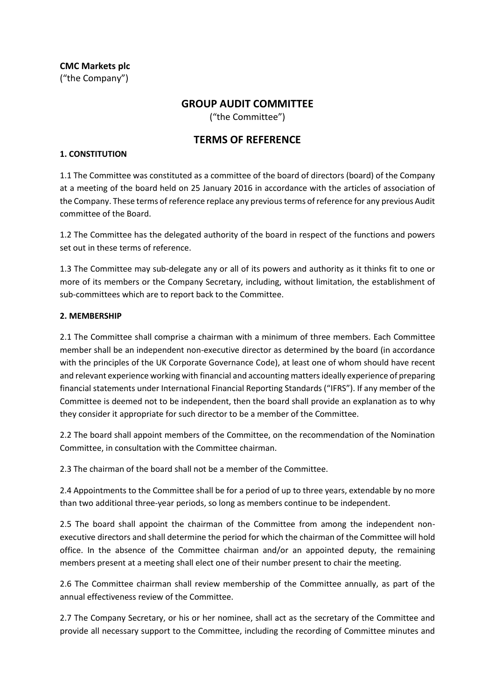**CMC Markets plc** ("the Company")

# **GROUP AUDIT COMMITTEE**

("the Committee")

# **TERMS OF REFERENCE**

### **1. CONSTITUTION**

1.1 The Committee was constituted as a committee of the board of directors (board) of the Company at a meeting of the board held on 25 January 2016 in accordance with the articles of association of the Company. These terms of reference replace any previous terms of reference for any previous Audit committee of the Board.

1.2 The Committee has the delegated authority of the board in respect of the functions and powers set out in these terms of reference.

1.3 The Committee may sub-delegate any or all of its powers and authority as it thinks fit to one or more of its members or the Company Secretary, including, without limitation, the establishment of sub-committees which are to report back to the Committee.

### **2. MEMBERSHIP**

2.1 The Committee shall comprise a chairman with a minimum of three members. Each Committee member shall be an independent non-executive director as determined by the board (in accordance with the principles of the UK Corporate Governance Code), at least one of whom should have recent and relevant experience working with financial and accounting matters ideally experience of preparing financial statements under International Financial Reporting Standards ("IFRS"). If any member of the Committee is deemed not to be independent, then the board shall provide an explanation as to why they consider it appropriate for such director to be a member of the Committee.

2.2 The board shall appoint members of the Committee, on the recommendation of the Nomination Committee, in consultation with the Committee chairman.

2.3 The chairman of the board shall not be a member of the Committee.

2.4 Appointments to the Committee shall be for a period of up to three years, extendable by no more than two additional three-year periods, so long as members continue to be independent.

2.5 The board shall appoint the chairman of the Committee from among the independent nonexecutive directors and shall determine the period for which the chairman of the Committee will hold office. In the absence of the Committee chairman and/or an appointed deputy, the remaining members present at a meeting shall elect one of their number present to chair the meeting.

2.6 The Committee chairman shall review membership of the Committee annually, as part of the annual effectiveness review of the Committee.

2.7 The Company Secretary, or his or her nominee, shall act as the secretary of the Committee and provide all necessary support to the Committee, including the recording of Committee minutes and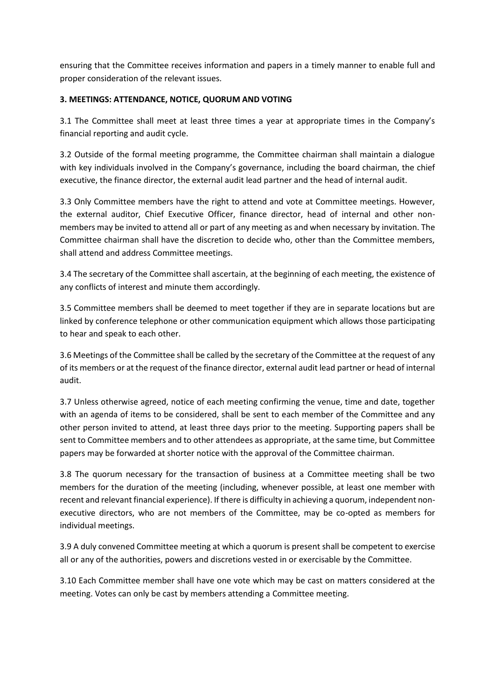ensuring that the Committee receives information and papers in a timely manner to enable full and proper consideration of the relevant issues.

# **3. MEETINGS: ATTENDANCE, NOTICE, QUORUM AND VOTING**

3.1 The Committee shall meet at least three times a year at appropriate times in the Company's financial reporting and audit cycle.

3.2 Outside of the formal meeting programme, the Committee chairman shall maintain a dialogue with key individuals involved in the Company's governance, including the board chairman, the chief executive, the finance director, the external audit lead partner and the head of internal audit.

3.3 Only Committee members have the right to attend and vote at Committee meetings. However, the external auditor, Chief Executive Officer, finance director, head of internal and other nonmembers may be invited to attend all or part of any meeting as and when necessary by invitation. The Committee chairman shall have the discretion to decide who, other than the Committee members, shall attend and address Committee meetings.

3.4 The secretary of the Committee shall ascertain, at the beginning of each meeting, the existence of any conflicts of interest and minute them accordingly.

3.5 Committee members shall be deemed to meet together if they are in separate locations but are linked by conference telephone or other communication equipment which allows those participating to hear and speak to each other.

3.6 Meetings of the Committee shall be called by the secretary of the Committee at the request of any of its members or at the request of the finance director, external audit lead partner or head of internal audit.

3.7 Unless otherwise agreed, notice of each meeting confirming the venue, time and date, together with an agenda of items to be considered, shall be sent to each member of the Committee and any other person invited to attend, at least three days prior to the meeting. Supporting papers shall be sent to Committee members and to other attendees as appropriate, at the same time, but Committee papers may be forwarded at shorter notice with the approval of the Committee chairman.

3.8 The quorum necessary for the transaction of business at a Committee meeting shall be two members for the duration of the meeting (including, whenever possible, at least one member with recent and relevant financial experience). If there is difficulty in achieving a quorum, independent nonexecutive directors, who are not members of the Committee, may be co-opted as members for individual meetings.

3.9 A duly convened Committee meeting at which a quorum is present shall be competent to exercise all or any of the authorities, powers and discretions vested in or exercisable by the Committee.

3.10 Each Committee member shall have one vote which may be cast on matters considered at the meeting. Votes can only be cast by members attending a Committee meeting.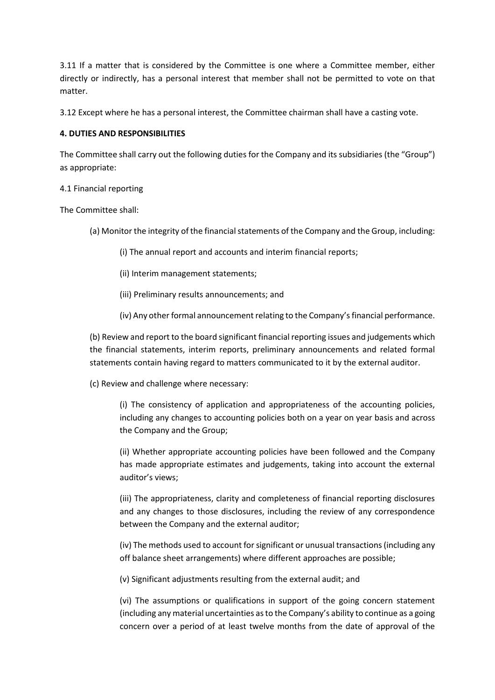3.11 If a matter that is considered by the Committee is one where a Committee member, either directly or indirectly, has a personal interest that member shall not be permitted to vote on that matter.

3.12 Except where he has a personal interest, the Committee chairman shall have a casting vote.

# **4. DUTIES AND RESPONSIBILITIES**

The Committee shall carry out the following duties for the Company and its subsidiaries (the "Group") as appropriate:

### 4.1 Financial reporting

The Committee shall:

- (a) Monitor the integrity of the financial statements of the Company and the Group, including:
	- (i) The annual report and accounts and interim financial reports;
	- (ii) Interim management statements;
	- (iii) Preliminary results announcements; and
	- (iv) Any other formal announcement relating to the Company'sfinancial performance.

(b) Review and report to the board significant financial reporting issues and judgements which the financial statements, interim reports, preliminary announcements and related formal statements contain having regard to matters communicated to it by the external auditor.

(c) Review and challenge where necessary:

(i) The consistency of application and appropriateness of the accounting policies, including any changes to accounting policies both on a year on year basis and across the Company and the Group;

(ii) Whether appropriate accounting policies have been followed and the Company has made appropriate estimates and judgements, taking into account the external auditor's views;

(iii) The appropriateness, clarity and completeness of financial reporting disclosures and any changes to those disclosures, including the review of any correspondence between the Company and the external auditor;

(iv) The methods used to account for significant or unusual transactions (including any off balance sheet arrangements) where different approaches are possible;

(v) Significant adjustments resulting from the external audit; and

(vi) The assumptions or qualifications in support of the going concern statement (including any material uncertainties as to the Company's ability to continue as a going concern over a period of at least twelve months from the date of approval of the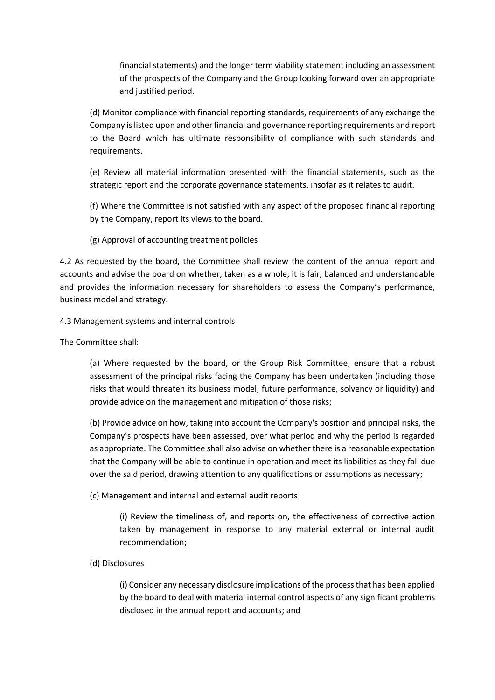financial statements) and the longer term viability statement including an assessment of the prospects of the Company and the Group looking forward over an appropriate and justified period.

(d) Monitor compliance with financial reporting standards, requirements of any exchange the Company is listed upon and other financial and governance reporting requirements and report to the Board which has ultimate responsibility of compliance with such standards and requirements.

(e) Review all material information presented with the financial statements, such as the strategic report and the corporate governance statements, insofar as it relates to audit.

(f) Where the Committee is not satisfied with any aspect of the proposed financial reporting by the Company, report its views to the board.

(g) Approval of accounting treatment policies

4.2 As requested by the board, the Committee shall review the content of the annual report and accounts and advise the board on whether, taken as a whole, it is fair, balanced and understandable and provides the information necessary for shareholders to assess the Company's performance, business model and strategy.

### 4.3 Management systems and internal controls

The Committee shall:

(a) Where requested by the board, or the Group Risk Committee, ensure that a robust assessment of the principal risks facing the Company has been undertaken (including those risks that would threaten its business model, future performance, solvency or liquidity) and provide advice on the management and mitigation of those risks;

(b) Provide advice on how, taking into account the Company's position and principal risks, the Company's prospects have been assessed, over what period and why the period is regarded as appropriate. The Committee shall also advise on whether there is a reasonable expectation that the Company will be able to continue in operation and meet its liabilities as they fall due over the said period, drawing attention to any qualifications or assumptions as necessary;

(c) Management and internal and external audit reports

(i) Review the timeliness of, and reports on, the effectiveness of corrective action taken by management in response to any material external or internal audit recommendation;

# (d) Disclosures

(i) Consider any necessary disclosure implications of the process that has been applied by the board to deal with material internal control aspects of any significant problems disclosed in the annual report and accounts; and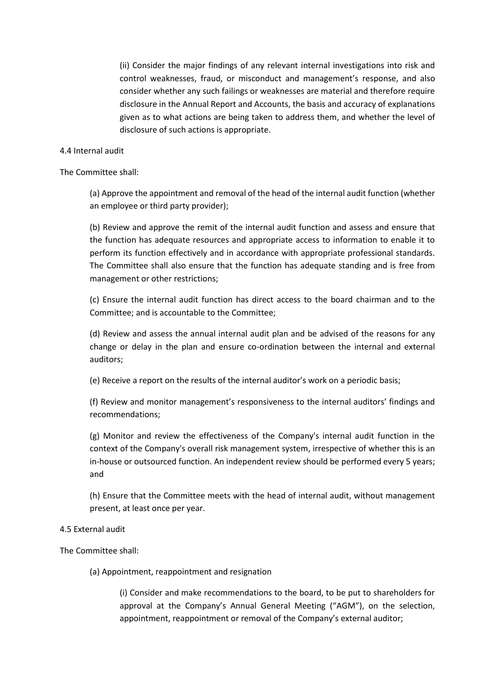(ii) Consider the major findings of any relevant internal investigations into risk and control weaknesses, fraud, or misconduct and management's response, and also consider whether any such failings or weaknesses are material and therefore require disclosure in the Annual Report and Accounts, the basis and accuracy of explanations given as to what actions are being taken to address them, and whether the level of disclosure of such actions is appropriate.

#### 4.4 Internal audit

The Committee shall:

(a) Approve the appointment and removal of the head of the internal audit function (whether an employee or third party provider);

(b) Review and approve the remit of the internal audit function and assess and ensure that the function has adequate resources and appropriate access to information to enable it to perform its function effectively and in accordance with appropriate professional standards. The Committee shall also ensure that the function has adequate standing and is free from management or other restrictions;

(c) Ensure the internal audit function has direct access to the board chairman and to the Committee; and is accountable to the Committee;

(d) Review and assess the annual internal audit plan and be advised of the reasons for any change or delay in the plan and ensure co-ordination between the internal and external auditors;

(e) Receive a report on the results of the internal auditor's work on a periodic basis;

(f) Review and monitor management's responsiveness to the internal auditors' findings and recommendations;

(g) Monitor and review the effectiveness of the Company's internal audit function in the context of the Company's overall risk management system, irrespective of whether this is an in-house or outsourced function. An independent review should be performed every 5 years; and

(h) Ensure that the Committee meets with the head of internal audit, without management present, at least once per year.

#### 4.5 External audit

The Committee shall:

(a) Appointment, reappointment and resignation

(i) Consider and make recommendations to the board, to be put to shareholders for approval at the Company's Annual General Meeting ("AGM"), on the selection, appointment, reappointment or removal of the Company's external auditor;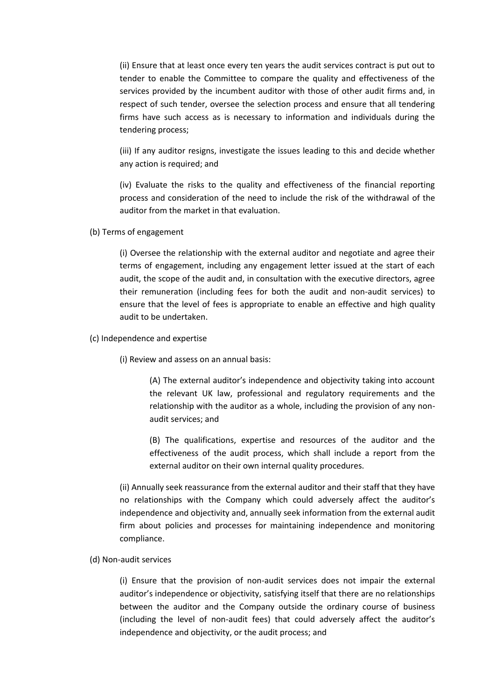(ii) Ensure that at least once every ten years the audit services contract is put out to tender to enable the Committee to compare the quality and effectiveness of the services provided by the incumbent auditor with those of other audit firms and, in respect of such tender, oversee the selection process and ensure that all tendering firms have such access as is necessary to information and individuals during the tendering process;

(iii) If any auditor resigns, investigate the issues leading to this and decide whether any action is required; and

(iv) Evaluate the risks to the quality and effectiveness of the financial reporting process and consideration of the need to include the risk of the withdrawal of the auditor from the market in that evaluation.

(b) Terms of engagement

(i) Oversee the relationship with the external auditor and negotiate and agree their terms of engagement, including any engagement letter issued at the start of each audit, the scope of the audit and, in consultation with the executive directors, agree their remuneration (including fees for both the audit and non-audit services) to ensure that the level of fees is appropriate to enable an effective and high quality audit to be undertaken.

(c) Independence and expertise

(i) Review and assess on an annual basis:

(A) The external auditor's independence and objectivity taking into account the relevant UK law, professional and regulatory requirements and the relationship with the auditor as a whole, including the provision of any nonaudit services; and

(B) The qualifications, expertise and resources of the auditor and the effectiveness of the audit process, which shall include a report from the external auditor on their own internal quality procedures.

(ii) Annually seek reassurance from the external auditor and their staff that they have no relationships with the Company which could adversely affect the auditor's independence and objectivity and, annually seek information from the external audit firm about policies and processes for maintaining independence and monitoring compliance.

(d) Non-audit services

(i) Ensure that the provision of non-audit services does not impair the external auditor's independence or objectivity, satisfying itself that there are no relationships between the auditor and the Company outside the ordinary course of business (including the level of non-audit fees) that could adversely affect the auditor's independence and objectivity, or the audit process; and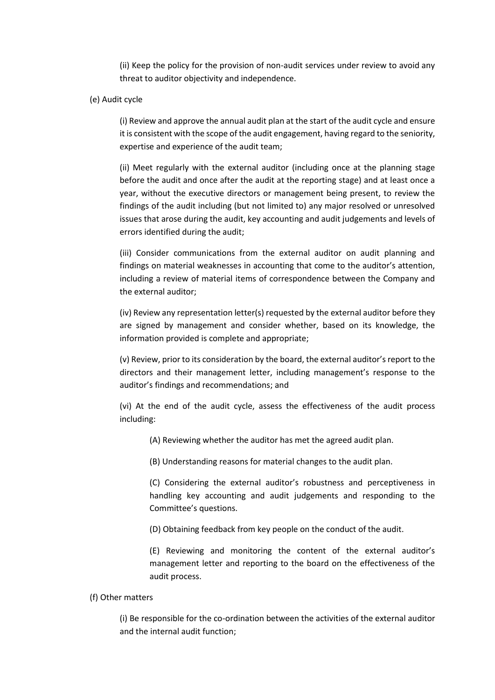(ii) Keep the policy for the provision of non-audit services under review to avoid any threat to auditor objectivity and independence.

#### (e) Audit cycle

(i) Review and approve the annual audit plan at the start of the audit cycle and ensure it is consistent with the scope of the audit engagement, having regard to the seniority, expertise and experience of the audit team;

(ii) Meet regularly with the external auditor (including once at the planning stage before the audit and once after the audit at the reporting stage) and at least once a year, without the executive directors or management being present, to review the findings of the audit including (but not limited to) any major resolved or unresolved issues that arose during the audit, key accounting and audit judgements and levels of errors identified during the audit;

(iii) Consider communications from the external auditor on audit planning and findings on material weaknesses in accounting that come to the auditor's attention, including a review of material items of correspondence between the Company and the external auditor;

(iv) Review any representation letter(s) requested by the external auditor before they are signed by management and consider whether, based on its knowledge, the information provided is complete and appropriate;

(v) Review, prior to its consideration by the board, the external auditor's report to the directors and their management letter, including management's response to the auditor's findings and recommendations; and

(vi) At the end of the audit cycle, assess the effectiveness of the audit process including:

- (A) Reviewing whether the auditor has met the agreed audit plan.
- (B) Understanding reasons for material changes to the audit plan.

(C) Considering the external auditor's robustness and perceptiveness in handling key accounting and audit judgements and responding to the Committee's questions.

(D) Obtaining feedback from key people on the conduct of the audit.

(E) Reviewing and monitoring the content of the external auditor's management letter and reporting to the board on the effectiveness of the audit process.

#### (f) Other matters

(i) Be responsible for the co-ordination between the activities of the external auditor and the internal audit function;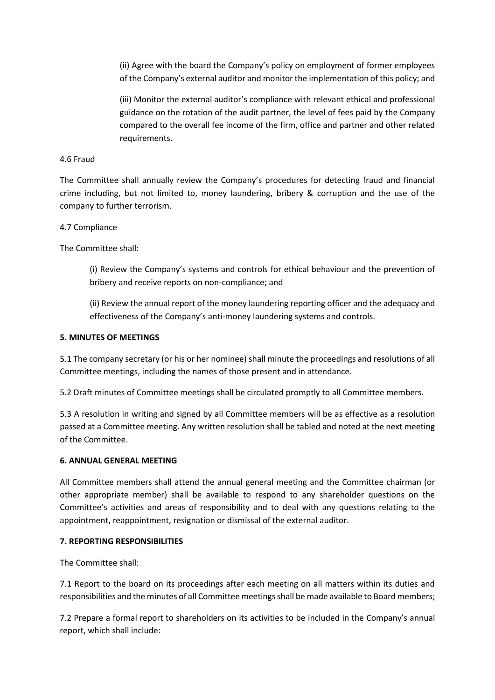(ii) Agree with the board the Company's policy on employment of former employees of the Company's external auditor and monitor the implementation of this policy; and

(iii) Monitor the external auditor's compliance with relevant ethical and professional guidance on the rotation of the audit partner, the level of fees paid by the Company compared to the overall fee income of the firm, office and partner and other related requirements.

### 4.6 Fraud

The Committee shall annually review the Company's procedures for detecting fraud and financial crime including, but not limited to, money laundering, bribery & corruption and the use of the company to further terrorism.

### 4.7 Compliance

The Committee shall:

(i) Review the Company's systems and controls for ethical behaviour and the prevention of bribery and receive reports on non-compliance; and

(ii) Review the annual report of the money laundering reporting officer and the adequacy and effectiveness of the Company's anti-money laundering systems and controls.

### **5. MINUTES OF MEETINGS**

5.1 The company secretary (or his or her nominee) shall minute the proceedings and resolutions of all Committee meetings, including the names of those present and in attendance.

5.2 Draft minutes of Committee meetings shall be circulated promptly to all Committee members.

5.3 A resolution in writing and signed by all Committee members will be as effective as a resolution passed at a Committee meeting. Any written resolution shall be tabled and noted at the next meeting of the Committee.

### **6. ANNUAL GENERAL MEETING**

All Committee members shall attend the annual general meeting and the Committee chairman (or other appropriate member) shall be available to respond to any shareholder questions on the Committee's activities and areas of responsibility and to deal with any questions relating to the appointment, reappointment, resignation or dismissal of the external auditor.

### **7. REPORTING RESPONSIBILITIES**

The Committee shall:

7.1 Report to the board on its proceedings after each meeting on all matters within its duties and responsibilities and the minutes of all Committee meetings shall be made available to Board members;

7.2 Prepare a formal report to shareholders on its activities to be included in the Company's annual report, which shall include: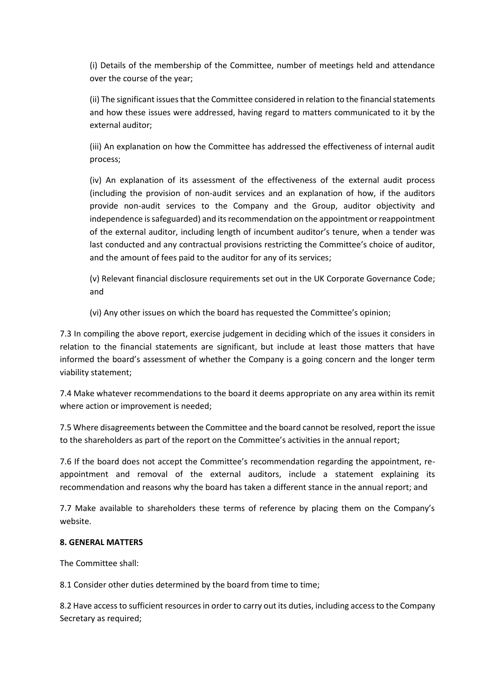(i) Details of the membership of the Committee, number of meetings held and attendance over the course of the year;

(ii) The significant issues that the Committee considered in relation to the financial statements and how these issues were addressed, having regard to matters communicated to it by the external auditor;

(iii) An explanation on how the Committee has addressed the effectiveness of internal audit process;

(iv) An explanation of its assessment of the effectiveness of the external audit process (including the provision of non-audit services and an explanation of how, if the auditors provide non-audit services to the Company and the Group, auditor objectivity and independence is safeguarded) and its recommendation on the appointment or reappointment of the external auditor, including length of incumbent auditor's tenure, when a tender was last conducted and any contractual provisions restricting the Committee's choice of auditor, and the amount of fees paid to the auditor for any of its services;

(v) Relevant financial disclosure requirements set out in the UK Corporate Governance Code; and

(vi) Any other issues on which the board has requested the Committee's opinion;

7.3 In compiling the above report, exercise judgement in deciding which of the issues it considers in relation to the financial statements are significant, but include at least those matters that have informed the board's assessment of whether the Company is a going concern and the longer term viability statement;

7.4 Make whatever recommendations to the board it deems appropriate on any area within its remit where action or improvement is needed;

7.5 Where disagreements between the Committee and the board cannot be resolved, report the issue to the shareholders as part of the report on the Committee's activities in the annual report;

7.6 If the board does not accept the Committee's recommendation regarding the appointment, reappointment and removal of the external auditors, include a statement explaining its recommendation and reasons why the board has taken a different stance in the annual report; and

7.7 Make available to shareholders these terms of reference by placing them on the Company's website.

### **8. GENERAL MATTERS**

The Committee shall:

8.1 Consider other duties determined by the board from time to time;

8.2 Have access to sufficient resources in order to carry out its duties, including access to the Company Secretary as required;